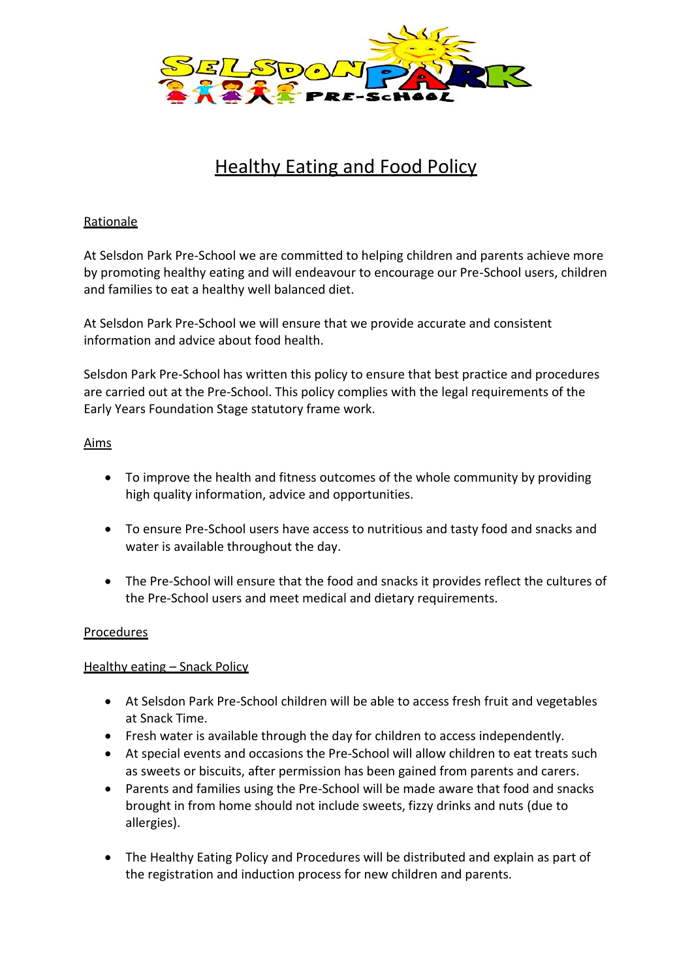

# Healthy Eating and Food Policy

# **Rationale**

At Selsdon Park Pre-School we are committed to helping children and parents achieve more by promoting healthy eating and will endeavour to encourage our Pre-School users, children and families to eat a healthy well balanced diet.

At Selsdon Park Pre-School we will ensure that we provide accurate and consistent information and advice about food health.

Selsdon Park Pre-School has written this policy to ensure that best practice and procedures are carried out at the Pre-School. This policy complies with the legal requirements of the Early Years Foundation Stage statutory frame work.

# Aims

- To improve the health and fitness outcomes of the whole community by providing high quality information, advice and opportunities.
- To ensure Pre-School users have access to nutritious and tasty food and snacks and water is available throughout the day.
- The Pre-School will ensure that the food and snacks it provides reflect the cultures of the Pre-School users and meet medical and dietary requirements.

# Procedures

# Healthy eating - Snack Policy

- At Selsdon Park Pre-School children will be able to access fresh fruit and vegetables at Snack Time.
- Fresh water is available through the day for children to access independently.
- At special events and occasions the Pre-School will allow children to eat treats such as sweets or biscuits, after permission has been gained from parents and carers.
- Parents and families using the Pre-School will be made aware that food and snacks brought in from home should not include sweets, fizzy drinks and nuts (due to allergies).
- The Healthy Eating Policy and Procedures will be distributed and explain as part of the registration and induction process for new children and parents.